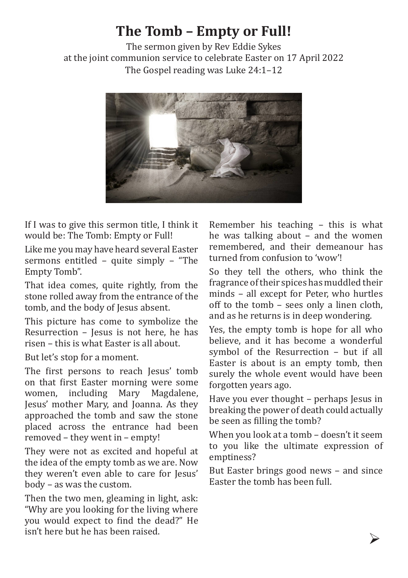## **The Tomb – Empty or Full!**

The sermon given by Rev Eddie Sykes at the joint communion service to celebrate Easter on 17 April 2022 The Gospel reading was Luke 24:1–12



If I was to give this sermon title, I think it would be: The Tomb: Empty or Full!

Like me you may have heard several Easter sermons entitled – quite simply – "The Empty Tomb".

That idea comes, quite rightly, from the stone rolled away from the entrance of the tomb, and the body of Jesus absent.

This picture has come to symbolize the Resurrection – Jesus is not here, he has risen – this is what Easter is all about.

But let's stop for a moment.

The first persons to reach Jesus' tomb on that first Easter morning were some women, including Mary Magdalene, Jesus' mother Mary, and Joanna. As they approached the tomb and saw the stone placed across the entrance had been removed – they went in – empty!

They were not as excited and hopeful at the idea of the empty tomb as we are. Now they weren't even able to care for Jesus' body – as was the custom.

Then the two men, gleaming in light, ask: "Why are you looking for the living where you would expect to find the dead?" He isn't here but he has been raised.

Remember his teaching – this is what he was talking about – and the women remembered, and their demeanour has turned from confusion to 'wow'!

So they tell the others, who think the fragrance of their spices has muddled their minds – all except for Peter, who hurtles off to the tomb – sees only a linen cloth, and as he returns is in deep wondering.

Yes, the empty tomb is hope for all who believe, and it has become a wonderful symbol of the Resurrection – but if all Easter is about is an empty tomb, then surely the whole event would have been forgotten years ago.

Have you ever thought – perhaps Jesus in breaking the power of death could actually be seen as filling the tomb?

When you look at a tomb – doesn't it seem to you like the ultimate expression of emptiness?

But Easter brings good news – and since Easter the tomb has been full.

Ø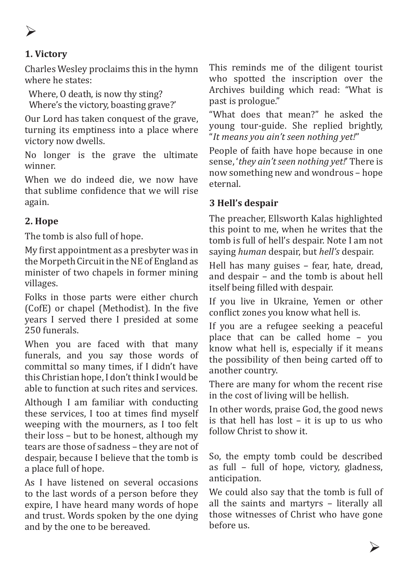Ø

## **1. Victory**

Charles Wesley proclaims this in the hymn where he states:

Where, O death, is now thy sting? Where's the victory, boasting grave?'

Our Lord has taken conquest of the grave, turning its emptiness into a place where victory now dwells.

No longer is the grave the ultimate winner.

When we do indeed die, we now have that sublime confidence that we will rise again.

## **2. Hope**

The tomb is also full of hope.

My first appointment as a presbyter was in the Morpeth Circuit in the NE of England as minister of two chapels in former mining villages.

Folks in those parts were either church (CofE) or chapel (Methodist). In the five years I served there I presided at some 250 funerals.

When you are faced with that many funerals, and you say those words of committal so many times, if I didn't have this Christian hope, I don't think I would be able to function at such rites and services.

Although I am familiar with conducting these services, I too at times find myself weeping with the mourners, as I too felt their loss – but to be honest, although my tears are those of sadness – they are not of despair, because I believe that the tomb is a place full of hope.

As I have listened on several occasions to the last words of a person before they expire, I have heard many words of hope and trust. Words spoken by the one dying and by the one to be bereaved.

This reminds me of the diligent tourist who spotted the inscription over the Archives building which read: "What is past is prologue."

"What does that mean?" he asked the young tour-guide. She replied brightly, "*It means you ain't seen nothing yet!*"

People of faith have hope because in one sense, '*they ain't seen nothing yet!*' There is now something new and wondrous – hope eternal.

## **3 Hell's despair**

The preacher, Ellsworth Kalas highlighted this point to me, when he writes that the tomb is full of hell's despair. Note I am not saying *human* despair, but *hell's* despair.

Hell has many guises – fear, hate, dread, and despair – and the tomb is about hell itself being filled with despair.

If you live in Ukraine, Yemen or other conflict zones you know what hell is.

If you are a refugee seeking a peaceful place that can be called home – you know what hell is, especially if it means the possibility of then being carted off to another country.

There are many for whom the recent rise in the cost of living will be hellish.

In other words, praise God, the good news is that hell has lost – it is up to us who follow Christ to show it.

So, the empty tomb could be described as full – full of hope, victory, gladness, anticipation.

We could also say that the tomb is full of all the saints and martyrs – literally all those witnesses of Christ who have gone before us.

Ø